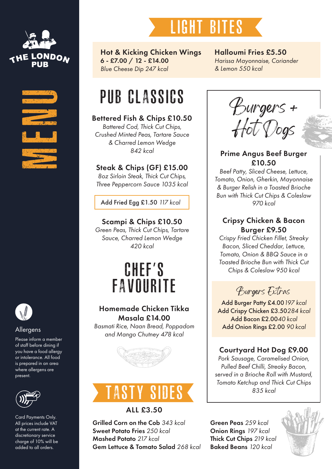





Please inform a member of staff before dining if you have a food allergy or intolerance. All food is prepared in an area where allergens are present.



Card Payments Only. All prices include VAT at the current rate. A discretionary service charge of 10% will be added to all orders.



Hot & Kicking Chicken Wings 6 - £7.00 / 12 - £14.00 *Blue Cheese Dip 247 kcal*

# PUB CLASSICS

#### Bettered Fish & Chips £10.50

*Battered Cod, Thick Cut Chips, Crushed Minted Peas, Tartare Sauce & Charred Lemon Wedge 842 kcal*

#### Steak & Chips (GF) £15.00

*8oz Sirloin Steak, Thick Cut Chips, Three Peppercorn Sauce 1035 kcal*

Add Fried Egg £1.50 *117 kcal*

Scampi & Chips £10.50 *Green Peas, Thick Cut Chips, Tartare Sauce, Charred Lemon Wedge 420 kcal*

# CHEF'S **FAVOURITE**

#### Homemade Chicken Tikka Masala £14.00

*Basmati Rice, Naan Bread, Poppadom and Mango Chutney 478 kcal* Allergens





#### ALL £3.50

Grilled Corn on the Cob *343 kcal* Sweet Potato Fries *250 kcal* Mashed Potato *217 kcal* Gem Lettuce & Tomato Salad *268 kcal* Halloumi Fries £5.50 *Harissa Mayonnaise, Coriander & Lemon 550 kcal*



#### Prime Angus Beef Burger £10.50

*Beef Patty, Sliced Cheese, Lettuce, Tomato, Onion, Gherkin, Mayonnaise & Burger Relish in a Toasted Brioche Bun with Thick Cut Chips & Coleslaw 970 kcal*

#### Cripsy Chicken & Bacon Burger £9.50

*Crispy Fried Chicken Fillet, Streaky Bacon, Sliced Cheddar, Lettuce, Tomato, Onion & BBQ Sauce in a Toasted Brioche Bun with Thick Cut Chips & Coleslaw 950 kcal*

Burgers Extras

Add Burger Patty £4.00*197 kcal* Add Crispy Chicken £3.50*284 kcal* Add Bacon £2.00*40 kcal* Add Onion Rings £2.00 *90 kcal*

#### Courtyard Hot Dog £9.00

*Pork Sausage, Caramelised Onion, Pulled Beef Chilli, Streaky Bacon, served in a Brioche Roll with Mustard, Tomato Ketchup and Thick Cut Chips 835 kcal*

Green Peas *259 kcal* Onion Rings *197 kcal* Thick Cut Chips *219 kcal* Baked Beans *120 kcal*